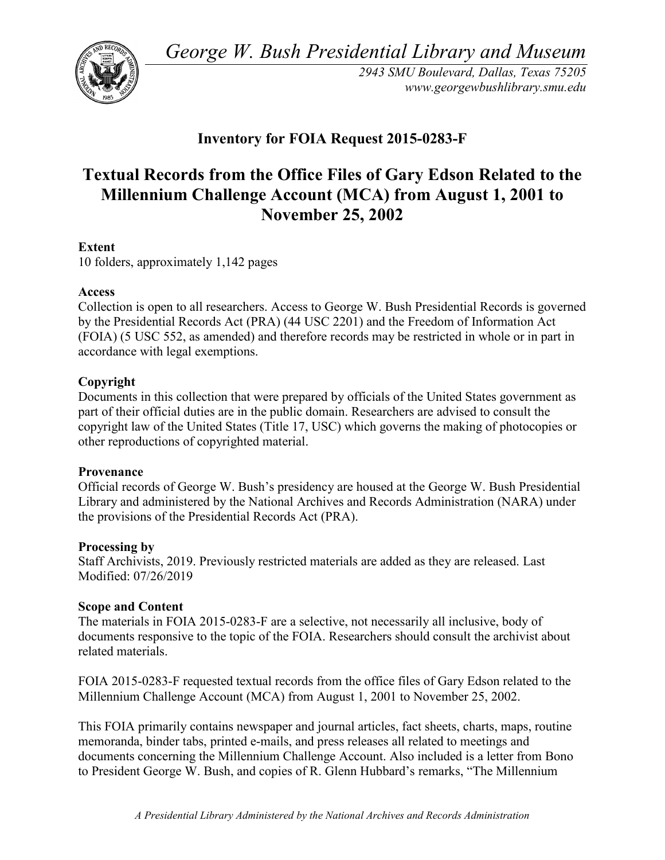*George W. Bush Presidential Library and Museum* 



 *2943 SMU Boulevard, Dallas, Texas 75205 <www.georgewbushlibrary.smu.edu>*

# **Inventory for FOIA Request 2015-0283-F**

# **Textual Records from the Office Files of Gary Edson Related to the Millennium Challenge Account (MCA) from August 1, 2001 to November 25, 2002**

# **Extent**

10 folders, approximately 1,142 pages

## **Access**

 by the Presidential Records Act (PRA) (44 USC 2201) and the Freedom of Information Act Collection is open to all researchers. Access to George W. Bush Presidential Records is governed (FOIA) (5 USC 552, as amended) and therefore records may be restricted in whole or in part in accordance with legal exemptions.

## **Copyright**

 Documents in this collection that were prepared by officials of the United States government as part of their official duties are in the public domain. Researchers are advised to consult the copyright law of the United States (Title 17, USC) which governs the making of photocopies or other reproductions of copyrighted material.

## **Provenance**

 Official records of George W. Bush's presidency are housed at the George W. Bush Presidential Library and administered by the National Archives and Records Administration (NARA) under the provisions of the Presidential Records Act (PRA).

## **Processing by**

 Modified: 07/26/2019 Staff Archivists, 2019. Previously restricted materials are added as they are released. Last

## **Scope and Content**

The materials in FOIA 2015-0283-F are a selective, not necessarily all inclusive, body of documents responsive to the topic of the FOIA. Researchers should consult the archivist about related materials.

 FOIA 2015-0283-F requested textual records from the office files of Gary Edson related to the Millennium Challenge Account (MCA) from August 1, 2001 to November 25, 2002.

 memoranda, binder tabs, printed e-mails, and press releases all related to meetings and This FOIA primarily contains newspaper and journal articles, fact sheets, charts, maps, routine documents concerning the Millennium Challenge Account. Also included is a letter from Bono to President George W. Bush, and copies of R. Glenn Hubbard's remarks, "The Millennium